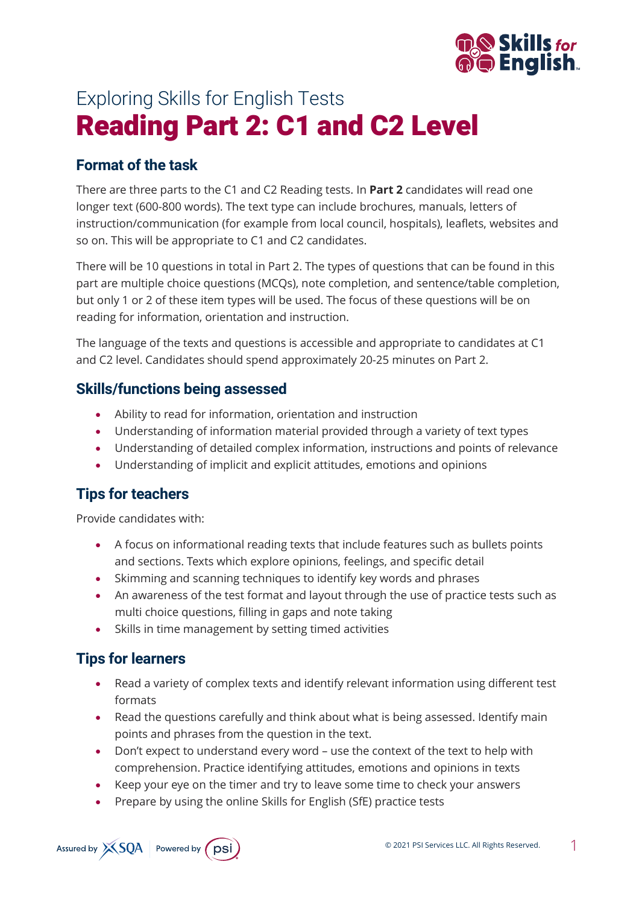

# Exploring Skills for English Tests Reading Part 2: C1 and C2 Level

### **Format of the task**

There are three parts to the C1 and C2 Reading tests. In **Part 2** candidates will read one longer text (600-800 words). The text type can include brochures, manuals, letters of instruction/communication (for example from local council, hospitals), leaflets, websites and so on. This will be appropriate to C1 and C2 candidates.

There will be 10 questions in total in Part 2. The types of questions that can be found in this part are multiple choice questions (MCQs), note completion, and sentence/table completion, but only 1 or 2 of these item types will be used. The focus of these questions will be on reading for information, orientation and instruction.

The language of the texts and questions is accessible and appropriate to candidates at C1 and C2 level. Candidates should spend approximately 20-25 minutes on Part 2.

#### **Skills/functions being assessed**

- Ability to read for information, orientation and instruction
- Understanding of information material provided through a variety of text types
- Understanding of detailed complex information, instructions and points of relevance
- Understanding of implicit and explicit attitudes, emotions and opinions

#### **Tips for teachers**

Provide candidates with:

- A focus on informational reading texts that include features such as bullets points and sections. Texts which explore opinions, feelings, and specific detail
- Skimming and scanning techniques to identify key words and phrases
- An awareness of the test format and layout through the use of practice tests such as multi choice questions, filling in gaps and note taking
- Skills in time management by setting timed activities

#### **Tips for learners**

- Read a variety of complex texts and identify relevant information using different test formats
- Read the questions carefully and think about what is being assessed. Identify main points and phrases from the question in the text.
- Don't expect to understand every word use the context of the text to help with comprehension. Practice identifying attitudes, emotions and opinions in texts
- Keep your eye on the timer and try to leave some time to check your answers
- Prepare by using the online Skills for English (SfE) practice tests

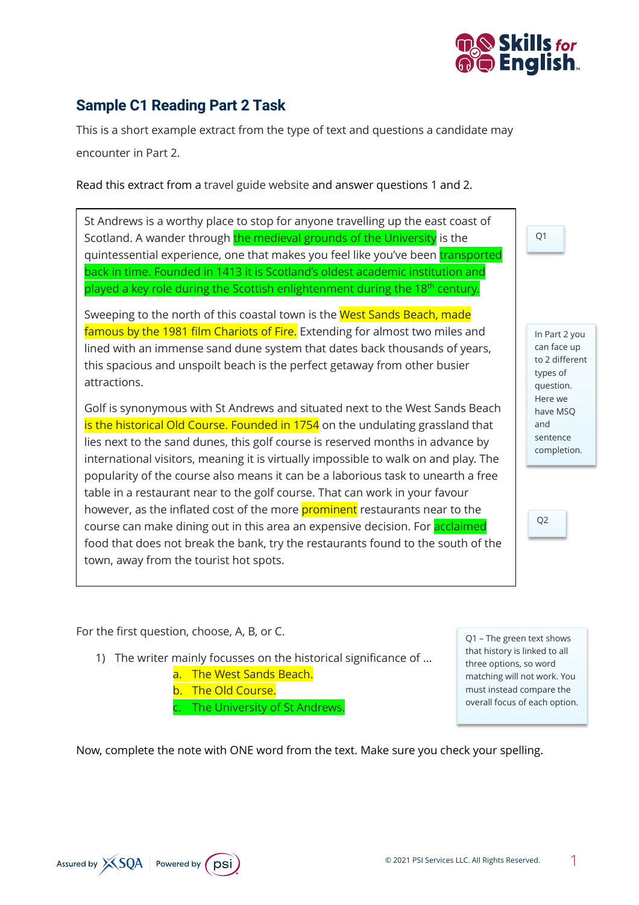

## **Sample C1 Reading Part 2 Task**

This is a short example extract from the type of text and questions a candidate may encounter in Part 2.

Read this extract from a travel guide website and answer questions 1 and 2.

St Andrews is a worthy place to stop for anyone travelling up the east coast of Scotland. A wander through the medieval grounds of the University is the quintessential experience, one that makes you feel like you've been transported back in time. Founded in 1413 it is Scotland's oldest academic institution and played a key role during the Scottish enlightenment during the 18<sup>th</sup> century.

Sweeping to the north of this coastal town is the West Sands Beach, made famous by the 1981 film Chariots of Fire. Extending for almost two miles and lined with an immense sand dune system that dates back thousands of years, this spacious and unspoilt beach is the perfect getaway from other busier attractions.

Golf is synonymous with St Andrews and situated next to the West Sands Beach is the historical Old Course. Founded in 1754 on the undulating grassland that lies next to the sand dunes, this golf course is reserved months in advance by international visitors, meaning it is virtually impossible to walk on and play. The popularity of the course also means it can be a laborious task to unearth a free table in a restaurant near to the golf course. That can work in your favour however, as the inflated cost of the more **prominent** restaurants near to the course can make dining out in this area an expensive decision. For **acclaimed** food that does not break the bank, try the restaurants found to the south of the town, away from the tourist hot spots.

can face up to 2 different types of question. Here we have MSQ and sentence completion.

In Part 2 you

Q1

Q2

For the first question, choose, A, B, or C.

- 1) The writer mainly focusses on the historical significance of …
	- a. The West Sands Beach. b. The Old Course. c. The University of St Andrews.

Q1 – The green text shows that history is linked to all three options, so word matching will not work. You must instead compare the overall focus of each option.

Now, complete the note with ONE word from the text. Make sure you check your spelling.